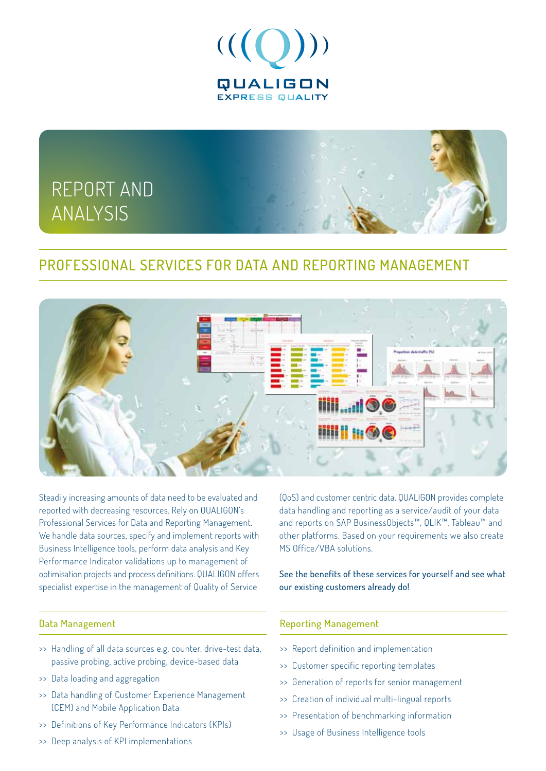

# **REPORT AND ANALYSIS**

### PROFFSSIONAL SERVICES FOR DATA AND REPORTING MANAGEMENT



Steadily increasing amounts of data need to be evaluated and reported with decreasing resources. Rely on QUALIGON's Professional Services for Data and Reporting Management. We handle data sources, specify and implement reports with Business Intelligence tools, perform data analysis and Key Performance Indicator validations up to management of optimisation projects and process definitions. QUALIGON offers specialist expertise in the management of Quality of Service

#### Data Management

- >> Handling of all data sources e.g. counter, drive-test data, passive probing, active probing, device-based data
- >> Data loading and aggregation
- >> Data handling of Customer Experience Management (CEM) and Mobile Application Data
- >> Definitions of Key Performance Indicators (KPIs)
- >> Deep analysis of KPI implementations

(QoS) and customer centric data. QUALIGON provides complete data handling and reporting as a service/audit of your data and reports on SAP BusinessObjects™, QLIK™, Tableau™ and other platforms. Based on your requirements we also create MS Office/VBA solutions.

See the benefits of these services for yourself and see what our existing customers already do!

#### Reporting Management

- >> Report definition and implementation
- >> Customer specific reporting templates
- >> Generation of reports for senior management
- >> Creation of individual multi-lingual reports
- >> Presentation of benchmarking information
- >> Usage of Business Intelligence tools